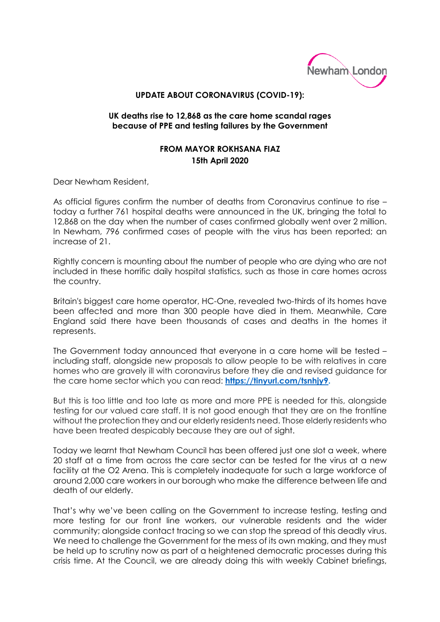

## **UPDATE ABOUT CORONAVIRUS (COVID-19):**

## **UK deaths rise to 12,868 as the care home scandal rages because of PPE and testing failures by the Government**

## **FROM MAYOR ROKHSANA FIAZ 15th April 2020**

Dear Newham Resident,

As official figures confirm the number of deaths from Coronavirus continue to rise – today a further 761 hospital deaths were announced in the UK, bringing the total to 12,868 on the day when the number of cases confirmed globally went over 2 million. In Newham, 796 confirmed cases of people with the virus has been reported; an increase of 21.

Rightly concern is mounting about the number of people who are dying who are not included in these horrific daily hospital statistics, such as those in care homes across the country.

Britain's biggest care home operator, HC-One, revealed two-thirds of its homes have been affected and more than 300 people have died in them. Meanwhile, Care England said there have been thousands of cases and deaths in the homes it represents.

The Government today announced that everyone in a care home will be tested – including staff, alongside new proposals to allow people to be with relatives in care homes who are gravely ill with coronavirus before they die and revised guidance for the care home sector which you can read: **[https://tinyurl.com/tsnhjy9.](https://tinyurl.com/tsnhjy9)** 

But this is too little and too late as more and more PPE is needed for this, alongside testing for our valued care staff. It is not good enough that they are on the frontline without the protection they and our elderly residents need. Those elderly residents who have been treated despicably because they are out of sight.

Today we learnt that Newham Council has been offered just one slot a week, where 20 staff at a time from across the care sector can be tested for the virus at a new facility at the O2 Arena. This is completely inadequate for such a large workforce of around 2,000 care workers in our borough who make the difference between life and death of our elderly.

That's why we've been calling on the Government to increase testing, testing and more testing for our front line workers, our vulnerable residents and the wider community; alongside contact tracing so we can stop the spread of this deadly virus. We need to challenge the Government for the mess of its own making, and they must be held up to scrutiny now as part of a heightened democratic processes during this crisis time. At the Council, we are already doing this with weekly Cabinet briefings,